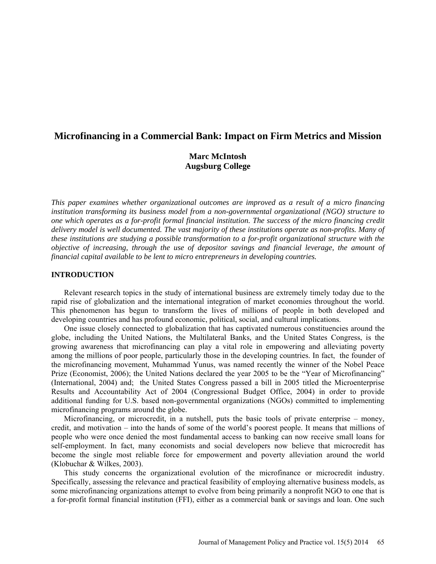# **Microfinancing in a Commercial Bank: Impact on Firm Metrics and Mission**

# **Marc McIntosh Augsburg College**

*This paper examines whether organizational outcomes are improved as a result of a micro financing institution transforming its business model from a non-governmental organizational (NGO) structure to one which operates as a for-profit formal financial institution. The success of the micro financing credit delivery model is well documented. The vast majority of these institutions operate as non-profits. Many of these institutions are studying a possible transformation to a for-profit organizational structure with the objective of increasing, through the use of depositor savings and financial leverage, the amount of financial capital available to be lent to micro entrepreneurs in developing countries.* 

#### **INTRODUCTION**

Relevant research topics in the study of international business are extremely timely today due to the rapid rise of globalization and the international integration of market economies throughout the world. This phenomenon has begun to transform the lives of millions of people in both developed and developing countries and has profound economic, political, social, and cultural implications.

One issue closely connected to globalization that has captivated numerous constituencies around the globe, including the United Nations, the Multilateral Banks, and the United States Congress, is the growing awareness that microfinancing can play a vital role in empowering and alleviating poverty among the millions of poor people, particularly those in the developing countries. In fact, the founder of the microfinancing movement, Muhammad Yunus, was named recently the winner of the Nobel Peace Prize (Economist, 2006); the United Nations declared the year 2005 to be the "Year of Microfinancing" (International, 2004) and; the United States Congress passed a bill in 2005 titled the Microenterprise Results and Accountability Act of 2004 (Congressional Budget Office, 2004) in order to provide additional funding for U.S. based non-governmental organizations (NGOs) committed to implementing microfinancing programs around the globe.

Microfinancing, or microcredit, in a nutshell, puts the basic tools of private enterprise – money, credit, and motivation – into the hands of some of the world's poorest people. It means that millions of people who were once denied the most fundamental access to banking can now receive small loans for self-employment. In fact, many economists and social developers now believe that microcredit has become the single most reliable force for empowerment and poverty alleviation around the world (Klobuchar & Wilkes, 2003).

This study concerns the organizational evolution of the microfinance or microcredit industry. Specifically, assessing the relevance and practical feasibility of employing alternative business models, as some microfinancing organizations attempt to evolve from being primarily a nonprofit NGO to one that is a for-profit formal financial institution (FFI), either as a commercial bank or savings and loan. One such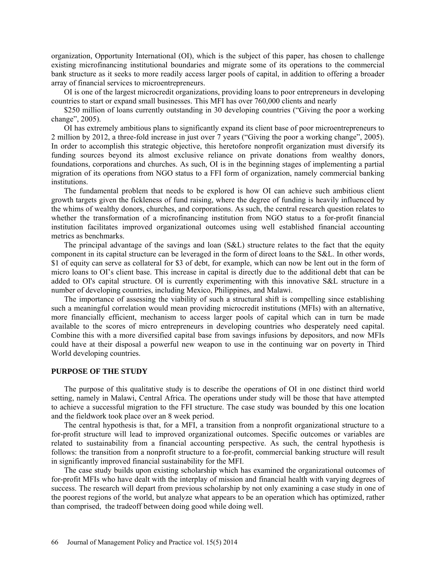organization, Opportunity International (OI), which is the subject of this paper, has chosen to challenge existing microfinancing institutional boundaries and migrate some of its operations to the commercial bank structure as it seeks to more readily access larger pools of capital, in addition to offering a broader array of financial services to microentrepreneurs.

OI is one of the largest microcredit organizations, providing loans to poor entrepreneurs in developing countries to start or expand small businesses. This MFI has over 760,000 clients and nearly

\$250 million of loans currently outstanding in 30 developing countries ("Giving the poor a working change", 2005).

OI has extremely ambitious plans to significantly expand its client base of poor microentrepreneurs to 2 million by 2012, a three-fold increase in just over 7 years ("Giving the poor a working change", 2005). In order to accomplish this strategic objective, this heretofore nonprofit organization must diversify its funding sources beyond its almost exclusive reliance on private donations from wealthy donors, foundations, corporations and churches. As such, OI is in the beginning stages of implementing a partial migration of its operations from NGO status to a FFI form of organization, namely commercial banking institutions.

The fundamental problem that needs to be explored is how OI can achieve such ambitious client growth targets given the fickleness of fund raising, where the degree of funding is heavily influenced by the whims of wealthy donors, churches, and corporations. As such, the central research question relates to whether the transformation of a microfinancing institution from NGO status to a for-profit financial institution facilitates improved organizational outcomes using well established financial accounting metrics as benchmarks.

The principal advantage of the savings and loan (S&L) structure relates to the fact that the equity component in its capital structure can be leveraged in the form of direct loans to the S&L. In other words, \$1 of equity can serve as collateral for \$3 of debt, for example, which can now be lent out in the form of micro loans to OI's client base. This increase in capital is directly due to the additional debt that can be added to OI's capital structure. OI is currently experimenting with this innovative S&L structure in a number of developing countries, including Mexico, Philippines, and Malawi.

The importance of assessing the viability of such a structural shift is compelling since establishing such a meaningful correlation would mean providing microcredit institutions (MFIs) with an alternative, more financially efficient, mechanism to access larger pools of capital which can in turn be made available to the scores of micro entrepreneurs in developing countries who desperately need capital. Combine this with a more diversified capital base from savings infusions by depositors, and now MFIs could have at their disposal a powerful new weapon to use in the continuing war on poverty in Third World developing countries.

#### **PURPOSE OF THE STUDY**

The purpose of this qualitative study is to describe the operations of OI in one distinct third world setting, namely in Malawi, Central Africa. The operations under study will be those that have attempted to achieve a successful migration to the FFI structure. The case study was bounded by this one location and the fieldwork took place over an 8 week period.

The central hypothesis is that, for a MFI, a transition from a nonprofit organizational structure to a for-profit structure will lead to improved organizational outcomes. Specific outcomes or variables are related to sustainability from a financial accounting perspective. As such, the central hypothesis is follows: the transition from a nonprofit structure to a for-profit, commercial banking structure will result in significantly improved financial sustainability for the MFI.

The case study builds upon existing scholarship which has examined the organizational outcomes of for-profit MFIs who have dealt with the interplay of mission and financial health with varying degrees of success. The research will depart from previous scholarship by not only examining a case study in one of the poorest regions of the world, but analyze what appears to be an operation which has optimized, rather than comprised, the tradeoff between doing good while doing well.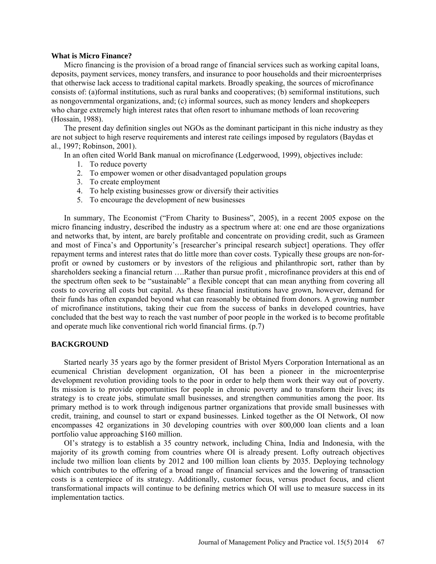#### **What is Micro Finance?**

Micro financing is the provision of a broad range of financial services such as working capital loans, deposits, payment services, money transfers, and insurance to poor households and their microenterprises that otherwise lack access to traditional capital markets. Broadly speaking, the sources of microfinance consists of: (a)formal institutions, such as rural banks and cooperatives; (b) semiformal institutions, such as nongovernmental organizations, and; (c) informal sources, such as money lenders and shopkeepers who charge extremely high interest rates that often resort to inhumane methods of loan recovering (Hossain, 1988).

The present day definition singles out NGOs as the dominant participant in this niche industry as they are not subject to high reserve requirements and interest rate ceilings imposed by regulators (Baydas et al., 1997; Robinson, 2001).

In an often cited World Bank manual on microfinance (Ledgerwood, 1999), objectives include:

- 1. To reduce poverty
- 2. To empower women or other disadvantaged population groups
- 3. To create employment
- 4. To help existing businesses grow or diversify their activities
- 5. To encourage the development of new businesses

In summary, The Economist ("From Charity to Business", 2005), in a recent 2005 expose on the micro financing industry, described the industry as a spectrum where at: one end are those organizations and networks that, by intent, are barely profitable and concentrate on providing credit, such as Grameen and most of Finca's and Opportunity's [researcher's principal research subject] operations. They offer repayment terms and interest rates that do little more than cover costs. Typically these groups are non-forprofit or owned by customers or by investors of the religious and philanthropic sort, rather than by shareholders seeking a financial return ….Rather than pursue profit , microfinance providers at this end of the spectrum often seek to be "sustainable" a flexible concept that can mean anything from covering all costs to covering all costs but capital. As these financial institutions have grown, however, demand for their funds has often expanded beyond what can reasonably be obtained from donors. A growing number of microfinance institutions, taking their cue from the success of banks in developed countries, have concluded that the best way to reach the vast number of poor people in the worked is to become profitable and operate much like conventional rich world financial firms. (p.7)

#### **BACKGROUND**

Started nearly 35 years ago by the former president of Bristol Myers Corporation International as an ecumenical Christian development organization, OI has been a pioneer in the microenterprise development revolution providing tools to the poor in order to help them work their way out of poverty. Its mission is to provide opportunities for people in chronic poverty and to transform their lives; its strategy is to create jobs, stimulate small businesses, and strengthen communities among the poor. Its primary method is to work through indigenous partner organizations that provide small businesses with credit, training, and counsel to start or expand businesses. Linked together as the OI Network, OI now encompasses 42 organizations in 30 developing countries with over 800,000 loan clients and a loan portfolio value approaching \$160 million.

OI's strategy is to establish a 35 country network, including China, India and Indonesia, with the majority of its growth coming from countries where OI is already present. Lofty outreach objectives include two million loan clients by 2012 and 100 million loan clients by 2035. Deploying technology which contributes to the offering of a broad range of financial services and the lowering of transaction costs is a centerpiece of its strategy. Additionally, customer focus, versus product focus, and client transformational impacts will continue to be defining metrics which OI will use to measure success in its implementation tactics.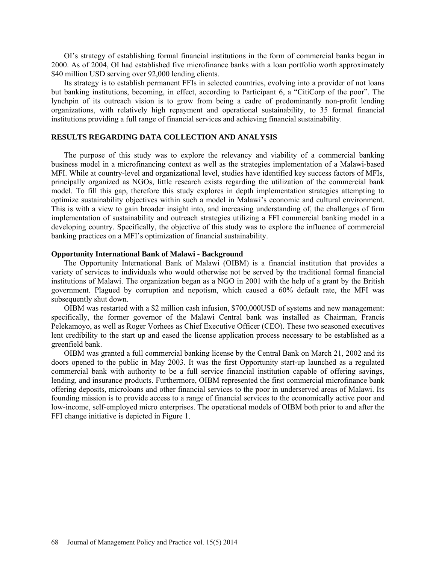OI's strategy of establishing formal financial institutions in the form of commercial banks began in 2000. As of 2004, OI had established five microfinance banks with a loan portfolio worth approximately \$40 million USD serving over 92,000 lending clients.

Its strategy is to establish permanent FFIs in selected countries, evolving into a provider of not loans but banking institutions, becoming, in effect, according to Participant 6, a "CitiCorp of the poor". The lynchpin of its outreach vision is to grow from being a cadre of predominantly non-profit lending organizations, with relatively high repayment and operational sustainability, to 35 formal financial institutions providing a full range of financial services and achieving financial sustainability.

### **RESULTS REGARDING DATA COLLECTION AND ANALYSIS**

The purpose of this study was to explore the relevancy and viability of a commercial banking business model in a microfinancing context as well as the strategies implementation of a Malawi-based MFI. While at country-level and organizational level, studies have identified key success factors of MFIs, principally organized as NGOs, little research exists regarding the utilization of the commercial bank model. To fill this gap, therefore this study explores in depth implementation strategies attempting to optimize sustainability objectives within such a model in Malawi's economic and cultural environment. This is with a view to gain broader insight into, and increasing understanding of, the challenges of firm implementation of sustainability and outreach strategies utilizing a FFI commercial banking model in a developing country. Specifically, the objective of this study was to explore the influence of commercial banking practices on a MFI's optimization of financial sustainability.

#### **Opportunity International Bank of Malawi - Background**

The Opportunity International Bank of Malawi (OIBM) is a financial institution that provides a variety of services to individuals who would otherwise not be served by the traditional formal financial institutions of Malawi. The organization began as a NGO in 2001 with the help of a grant by the British government. Plagued by corruption and nepotism, which caused a 60% default rate, the MFI was subsequently shut down.

OIBM was restarted with a \$2 million cash infusion, \$700,000USD of systems and new management: specifically, the former governor of the Malawi Central bank was installed as Chairman, Francis Pelekamoyo, as well as Roger Vorhees as Chief Executive Officer (CEO). These two seasoned executives lent credibility to the start up and eased the license application process necessary to be established as a greenfield bank.

OIBM was granted a full commercial banking license by the Central Bank on March 21, 2002 and its doors opened to the public in May 2003. It was the first Opportunity start-up launched as a regulated commercial bank with authority to be a full service financial institution capable of offering savings, lending, and insurance products. Furthermore, OIBM represented the first commercial microfinance bank offering deposits, microloans and other financial services to the poor in underserved areas of Malawi. Its founding mission is to provide access to a range of financial services to the economically active poor and low-income, self-employed micro enterprises. The operational models of OIBM both prior to and after the FFI change initiative is depicted in Figure 1.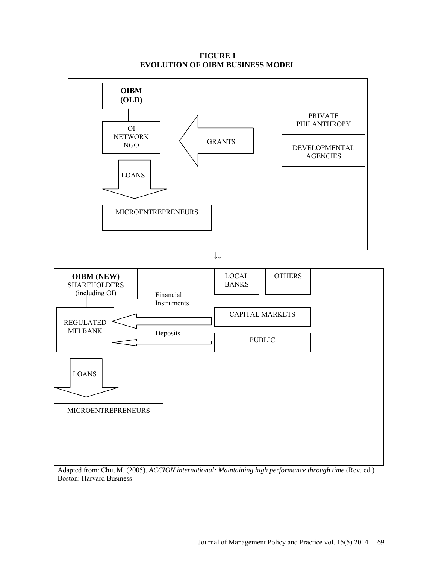**FIGURE 1 EVOLUTION OF OIBM BUSINESS MODEL**



Adapted from: Chu, M. (2005). *ACCION international: Maintaining high performance through time* (Rev. ed.). Boston: Harvard Business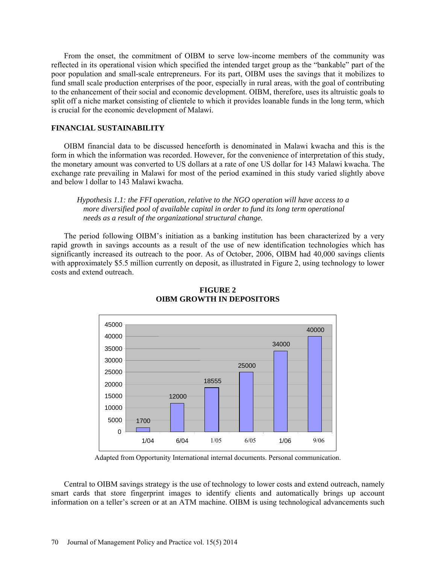From the onset, the commitment of OIBM to serve low-income members of the community was reflected in its operational vision which specified the intended target group as the "bankable" part of the poor population and small-scale entrepreneurs. For its part, OIBM uses the savings that it mobilizes to fund small scale production enterprises of the poor, especially in rural areas, with the goal of contributing to the enhancement of their social and economic development. OIBM, therefore, uses its altruistic goals to split off a niche market consisting of clientele to which it provides loanable funds in the long term, which is crucial for the economic development of Malawi.

#### **FINANCIAL SUSTAINABILITY**

OIBM financial data to be discussed henceforth is denominated in Malawi kwacha and this is the form in which the information was recorded. However, for the convenience of interpretation of this study, the monetary amount was converted to US dollars at a rate of one US dollar for 143 Malawi kwacha. The exchange rate prevailing in Malawi for most of the period examined in this study varied slightly above and below l dollar to 143 Malawi kwacha.

*Hypothesis 1.1: the FFI operation, relative to the NGO operation will have access to a more diversified pool of available capital in order to fund its long term operational needs as a result of the organizational structural change.*

The period following OIBM's initiation as a banking institution has been characterized by a very rapid growth in savings accounts as a result of the use of new identification technologies which has significantly increased its outreach to the poor. As of October, 2006, OIBM had 40,000 savings clients with approximately \$5.5 million currently on deposit, as illustrated in Figure 2, using technology to lower costs and extend outreach.



# **FIGURE 2 OIBM GROWTH IN DEPOSITORS**

Adapted from Opportunity International internal documents. Personal communication.

Central to OIBM savings strategy is the use of technology to lower costs and extend outreach, namely smart cards that store fingerprint images to identify clients and automatically brings up account information on a teller's screen or at an ATM machine. OIBM is using technological advancements such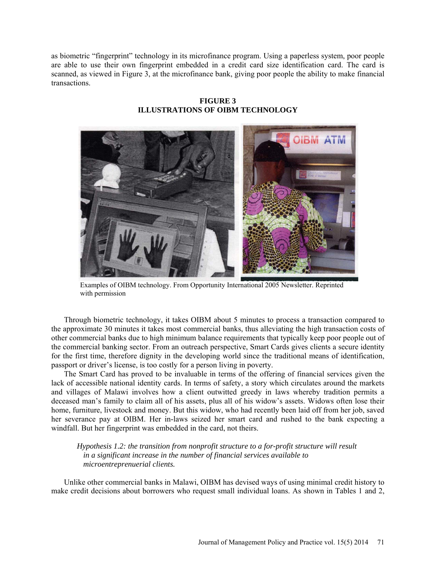as biometric "fingerprint" technology in its microfinance program. Using a paperless system, poor people are able to use their own fingerprint embedded in a credit card size identification card. The card is scanned, as viewed in Figure 3, at the microfinance bank, giving poor people the ability to make financial transactions.

**FIGURE 3 ILLUSTRATIONS OF OIBM TECHNOLOGY**



Examples of OIBM technology. From Opportunity International 2005 Newsletter. Reprinted with permission

Through biometric technology, it takes OIBM about 5 minutes to process a transaction compared to the approximate 30 minutes it takes most commercial banks, thus alleviating the high transaction costs of other commercial banks due to high minimum balance requirements that typically keep poor people out of the commercial banking sector. From an outreach perspective, Smart Cards gives clients a secure identity for the first time, therefore dignity in the developing world since the traditional means of identification, passport or driver's license, is too costly for a person living in poverty.

The Smart Card has proved to be invaluable in terms of the offering of financial services given the lack of accessible national identity cards. In terms of safety, a story which circulates around the markets and villages of Malawi involves how a client outwitted greedy in laws whereby tradition permits a deceased man's family to claim all of his assets, plus all of his widow's assets. Widows often lose their home, furniture, livestock and money. But this widow, who had recently been laid off from her job, saved her severance pay at OIBM. Her in-laws seized her smart card and rushed to the bank expecting a windfall. But her fingerprint was embedded in the card, not theirs.

*Hypothesis 1.2: the transition from nonprofit structure to a for-profit structure will result in a significant increase in the number of financial services available to microentreprenuerial clients.*

Unlike other commercial banks in Malawi, OIBM has devised ways of using minimal credit history to make credit decisions about borrowers who request small individual loans. As shown in Tables 1 and 2,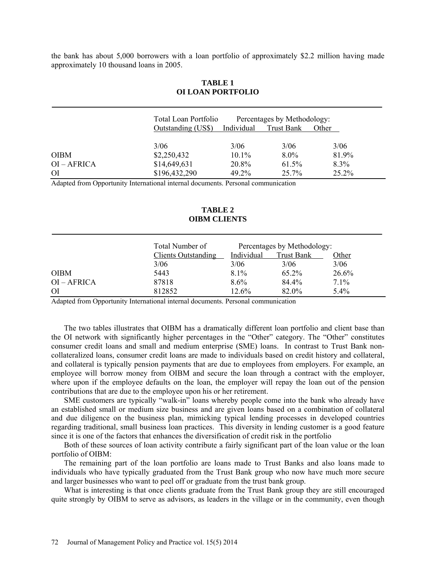the bank has about 5,000 borrowers with a loan portfolio of approximately \$2.2 million having made approximately 10 thousand loans in 2005.

|             | Total Loan Portfolio |            | Percentages by Methodology: |         |  |  |  |
|-------------|----------------------|------------|-----------------------------|---------|--|--|--|
|             | Outstanding (US\$)   | Individual | Trust Bank                  | Other   |  |  |  |
|             | 3/06                 | 3/06       | 3/06                        | 3/06    |  |  |  |
| <b>OIBM</b> | \$2,250,432          | $10.1\%$   | $8.0\%$                     | 81.9%   |  |  |  |
| OI – AFRICA | \$14,649,631         | 20.8%      | 61.5%                       | $8.3\%$ |  |  |  |
| ΟI          | \$196,432,290        | 49.2%      | 25.7%                       | 25.2%   |  |  |  |

#### **TABLE 1 OI LOAN PORTFOLIO**

Adapted from Opportunity International internal documents. Personal communication

### **TABLE 2 OIBM CLIENTS**

|               | Total Number of            |            | Percentages by Methodology: |       |
|---------------|----------------------------|------------|-----------------------------|-------|
|               | <b>Clients Outstanding</b> | Individual | Trust Bank                  | Other |
|               | 3/06                       | 3/06       | 3/06                        | 3/06  |
| <b>OIBM</b>   | 5443                       | 8.1%       | 65.2%                       | 26.6% |
| $OI - AFRICA$ | 87818                      | $8.6\%$    | 84.4%                       | 7.1%  |
| <b>OI</b>     | 812852                     | $12.6\%$   | 82.0%                       | 5.4%  |

Adapted from Opportunity International internal documents. Personal communication

The two tables illustrates that OIBM has a dramatically different loan portfolio and client base than the OI network with significantly higher percentages in the "Other" category. The "Other" constitutes consumer credit loans and small and medium enterprise (SME) loans. In contrast to Trust Bank noncollateralized loans, consumer credit loans are made to individuals based on credit history and collateral, and collateral is typically pension payments that are due to employees from employers. For example, an employee will borrow money from OIBM and secure the loan through a contract with the employer, where upon if the employee defaults on the loan, the employer will repay the loan out of the pension contributions that are due to the employee upon his or her retirement.

SME customers are typically "walk-in" loans whereby people come into the bank who already have an established small or medium size business and are given loans based on a combination of collateral and due diligence on the business plan, mimicking typical lending processes in developed countries regarding traditional, small business loan practices. This diversity in lending customer is a good feature since it is one of the factors that enhances the diversification of credit risk in the portfolio

Both of these sources of loan activity contribute a fairly significant part of the loan value or the loan portfolio of OIBM:

The remaining part of the loan portfolio are loans made to Trust Banks and also loans made to individuals who have typically graduated from the Trust Bank group who now have much more secure and larger businesses who want to peel off or graduate from the trust bank group.

What is interesting is that once clients graduate from the Trust Bank group they are still encouraged quite strongly by OIBM to serve as advisors, as leaders in the village or in the community, even though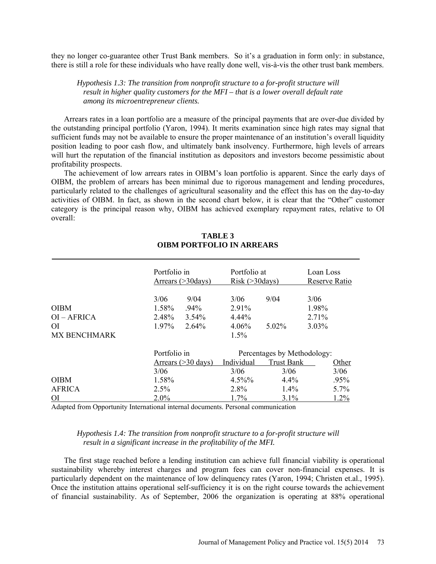they no longer co-guarantee other Trust Bank members. So it's a graduation in form only: in substance, there is still a role for these individuals who have really done well, vis-à-vis the other trust bank members.

*Hypothesis 1.3: The transition from nonprofit structure to a for-profit structure will result in higher quality customers for the MFI – that is a lower overall default rate among its microentrepreneur clients.*

Arrears rates in a loan portfolio are a measure of the principal payments that are over-due divided by the outstanding principal portfolio (Yaron, 1994). It merits examination since high rates may signal that sufficient funds may not be available to ensure the proper maintenance of an institution's overall liquidity position leading to poor cash flow, and ultimately bank insolvency. Furthermore, high levels of arrears will hurt the reputation of the financial institution as depositors and investors become pessimistic about profitability prospects.

The achievement of low arrears rates in OIBM's loan portfolio is apparent. Since the early days of OIBM, the problem of arrears has been minimal due to rigorous management and lending procedures, particularly related to the challenges of agricultural seasonality and the effect this has on the day-to-day activities of OIBM. In fact, as shown in the second chart below, it is clear that the "Other" customer category is the principal reason why, OIBM has achieved exemplary repayment rates, relative to OI overall:

|                     | Portfolio in<br>Arrears $(>30$ days) |                                                      | Portfolio at<br>Risk (>30 days) |                             | Loan Loss<br>Reserve Ratio |  |  |
|---------------------|--------------------------------------|------------------------------------------------------|---------------------------------|-----------------------------|----------------------------|--|--|
|                     | 3/06                                 | 9/04                                                 |                                 | 9/04                        | 3/06                       |  |  |
| <b>OIBM</b>         |                                      | 1.58%<br>$.94\%$                                     |                                 |                             | 1.98%                      |  |  |
| $OI - AFRICA$       |                                      | 2.48%<br>$3.54\%$                                    |                                 |                             | 2.71%                      |  |  |
| O <sub>I</sub>      | 1.97%                                | 2.64%                                                |                                 | $5.02\%$                    | $3.03\%$                   |  |  |
| <b>MX BENCHMARK</b> |                                      |                                                      | 1.5%                            |                             |                            |  |  |
|                     |                                      | Portfolio in<br>Arrears $(>30 \text{ days})$<br>3/06 |                                 | Percentages by Methodology: |                            |  |  |
|                     |                                      |                                                      |                                 | <b>Trust Bank</b>           | Other                      |  |  |
|                     |                                      |                                                      |                                 | 3/06                        | 3/06                       |  |  |
| <b>OIBM</b>         | 1.58%                                |                                                      |                                 | $4.4\%$                     | $.95\%$                    |  |  |
| <b>AFRICA</b>       | $2.5\%$                              |                                                      | 2.8%                            | $1.4\%$                     | 5.7%                       |  |  |
| <b>OI</b>           | $2.0\%$                              |                                                      |                                 | 3.1%                        | 1.2%                       |  |  |

# **TABLE 3 OIBM PORTFOLIO IN ARREARS**

Adapted from Opportunity International internal documents. Personal communication

# *Hypothesis 1.4: The transition from nonprofit structure to a for-profit structure will result in a significant increase in the profitability of the MFI.*

The first stage reached before a lending institution can achieve full financial viability is operational sustainability whereby interest charges and program fees can cover non-financial expenses. It is particularly dependent on the maintenance of low delinquency rates (Yaron, 1994; Christen et.al., 1995). Once the institution attains operational self-sufficiency it is on the right course towards the achievement of financial sustainability. As of September, 2006 the organization is operating at 88% operational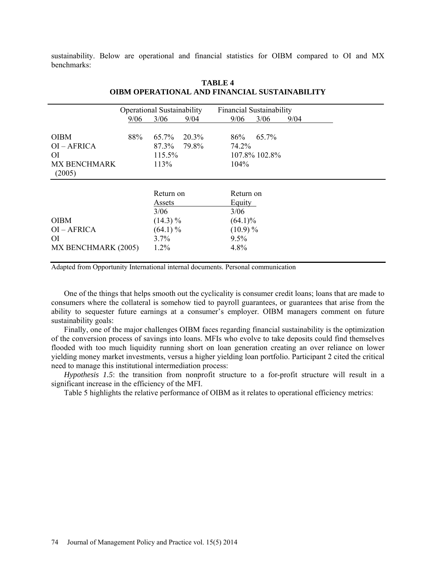sustainability. Below are operational and financial statistics for OIBM compared to OI and MX benchmarks:

|                                      | <b>Operational Sustainability</b> |                |                |              | <b>Financial Sustainability</b> |      |  |  |  |  |
|--------------------------------------|-----------------------------------|----------------|----------------|--------------|---------------------------------|------|--|--|--|--|
|                                      | 9/06                              | 3/06           | 9/04           | 9/06         | 3/06                            | 9/04 |  |  |  |  |
| <b>OIBM</b><br>$OI - AFRICA$         | 88%                               | 65.7%<br>87.3% | 20.3%<br>79.8% | 86%<br>74.2% | 65.7%                           |      |  |  |  |  |
| <sup>OI</sup><br><b>MX BENCHMARK</b> |                                   | 115.5%<br>113% |                | 104%         | 107.8% 102.8%                   |      |  |  |  |  |
| (2005)                               |                                   |                |                |              |                                 |      |  |  |  |  |
|                                      |                                   | Return on      |                | Return on    |                                 |      |  |  |  |  |
|                                      |                                   | Assets         |                | Equity       |                                 |      |  |  |  |  |
|                                      |                                   | 3/06           |                | 3/06         |                                 |      |  |  |  |  |
| <b>OIBM</b>                          | $(14.3)\%$                        |                | $(64.1)\%$     |              |                                 |      |  |  |  |  |
| $OI - AFRICA$                        |                                   | $(64.1)\%$     |                | $(10.9)\%$   |                                 |      |  |  |  |  |
| O <sub>I</sub>                       |                                   | $3.7\%$        |                | $9.5\%$      |                                 |      |  |  |  |  |
| MX BENCHMARK (2005)                  |                                   | 1.2%           |                | 4.8%         |                                 |      |  |  |  |  |

# **TABLE 4 OIBM OPERATIONAL AND FINANCIAL SUSTAINABILITY**

Adapted from Opportunity International internal documents. Personal communication

One of the things that helps smooth out the cyclicality is consumer credit loans; loans that are made to consumers where the collateral is somehow tied to payroll guarantees, or guarantees that arise from the ability to sequester future earnings at a consumer's employer. OIBM managers comment on future sustainability goals:

Finally, one of the major challenges OIBM faces regarding financial sustainability is the optimization of the conversion process of savings into loans. MFIs who evolve to take deposits could find themselves flooded with too much liquidity running short on loan generation creating an over reliance on lower yielding money market investments, versus a higher yielding loan portfolio. Participant 2 cited the critical need to manage this institutional intermediation process:

*Hypothesis 1.5*: the transition from nonprofit structure to a for-profit structure will result in a significant increase in the efficiency of the MFI.

Table 5 highlights the relative performance of OIBM as it relates to operational efficiency metrics: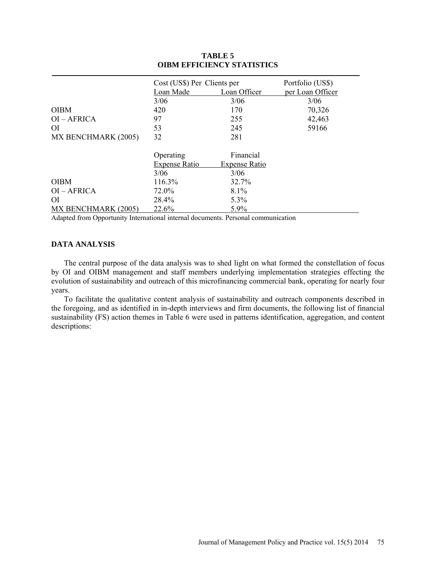|                              | Cost (US\$) Per Clients per |                      | Portfolio (US\$) |
|------------------------------|-----------------------------|----------------------|------------------|
|                              | Loan Made                   | Loan Officer         | per Loan Officer |
|                              | 3/06                        | 3/06                 | 3/06             |
| <b>OIBM</b>                  | 420                         | 170                  | 70,326           |
| OI-AFRICA                    | 97                          | 255                  | 42,463           |
| O <sub>I</sub>               | 53                          | 245                  | 59166            |
| MX BENCHMARK (2005)          | 32                          | 281                  |                  |
|                              | Operating                   | Financial            |                  |
|                              | <b>Expense Ratio</b>        | <b>Expense Ratio</b> |                  |
|                              | 3/06                        | 3/06                 |                  |
| <b>OIBM</b>                  | 116.3%                      | 32.7%                |                  |
| OI-AFRICA                    | 72.0%                       | 8.1%                 |                  |
| ΟI                           | 28.4%                       | 5.3%                 |                  |
| 22.6%<br>MX BENCHMARK (2005) |                             | 5.9%                 |                  |

# **TABLE 5 OIBM EFFICIENCY STATISTICS**

Adapted from Opportunity International internal documents. Personal communication

### **DATA ANALYSIS**

The central purpose of the data analysis was to shed light on what formed the constellation of focus by OI and OIBM management and staff members underlying implementation strategies effecting the evolution of sustainability and outreach of this microfinancing commercial bank, operating for nearly four years.

To facilitate the qualitative content analysis of sustainability and outreach components described in the foregoing, and as identified in in-depth interviews and firm documents, the following list of financial sustainability (FS) action themes in Table 6 were used in patterns identification, aggregation, and content descriptions: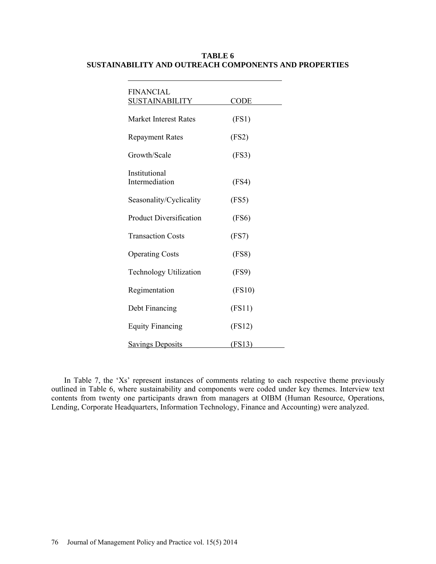| <b>FINANCIAL</b><br><b>SUSTAINABILITY</b> | CODE          |  |
|-------------------------------------------|---------------|--|
| <b>Market Interest Rates</b>              | (FS1)         |  |
| <b>Repayment Rates</b>                    | (FS2)         |  |
| Growth/Scale                              | (FS3)         |  |
| Institutional<br>Intermediation           | (FS4)         |  |
| Seasonality/Cyclicality                   | (FS5)         |  |
| <b>Product Diversification</b>            | (FS6)         |  |
| <b>Transaction Costs</b>                  | (FS7)         |  |
| <b>Operating Costs</b>                    | (FS8)         |  |
| <b>Technology Utilization</b>             | (FS9)         |  |
| Regimentation                             | (FS10)        |  |
| Debt Financing                            | (FS11)        |  |
| <b>Equity Financing</b>                   | (FS12)        |  |
| <b>Savings Deposits</b>                   | <u>(FS13)</u> |  |

# **TABLE 6 SUSTAINABILITY AND OUTREACH COMPONENTS AND PROPERTIES**

In Table 7, the 'Xs' represent instances of comments relating to each respective theme previously outlined in Table 6, where sustainability and components were coded under key themes. Interview text contents from twenty one participants drawn from managers at OIBM (Human Resource, Operations, Lending, Corporate Headquarters, Information Technology, Finance and Accounting) were analyzed.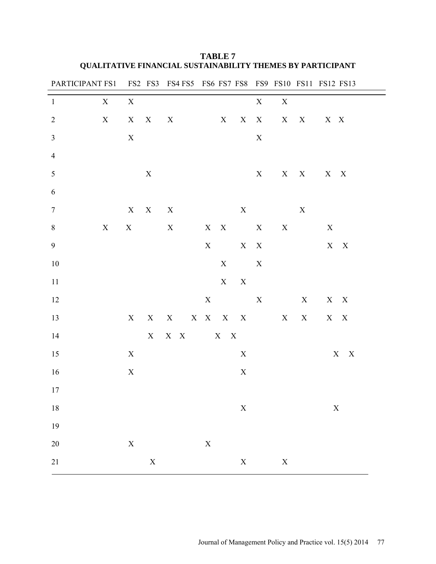| PARTICIPANT FS1 FS2 FS3 FS4 FS5 FS6 FS7 FS8 FS9 FS10 FS11 FS12 FS13 |             |             |             |                           |             |             |                         |             |             |             |             |                         |
|---------------------------------------------------------------------|-------------|-------------|-------------|---------------------------|-------------|-------------|-------------------------|-------------|-------------|-------------|-------------|-------------------------|
| $\mathbf{1}$                                                        | $\mathbf X$ | $\mathbf X$ |             |                           |             |             |                         | $\mathbf X$ | $\mathbf X$ |             |             |                         |
| $\overline{2}$                                                      | $\mathbf X$ | X           | X           | $\boldsymbol{\mathrm{X}}$ |             | X           | X                       | X           | X           | X           | X X         |                         |
| $\mathfrak{Z}$                                                      |             | $\mathbf X$ |             |                           |             |             |                         | $\mathbf X$ |             |             |             |                         |
| $\overline{4}$                                                      |             |             |             |                           |             |             |                         |             |             |             |             |                         |
| $\sqrt{5}$                                                          |             |             | $\mathbf X$ |                           |             |             |                         | $\mathbf X$ |             | $X$ $X$     | $X \tX$     |                         |
| $\sqrt{6}$                                                          |             |             |             |                           |             |             |                         |             |             |             |             |                         |
| $\overline{7}$                                                      |             | $\mathbf X$ | X           | X                         |             |             | $\mathbf X$             |             |             | $\mathbf X$ |             |                         |
| $\,8\,$                                                             | X           | $\mathbf X$ |             | X                         | $X$ $X$     |             |                         | $\mathbf X$ | $\mathbf X$ |             | X           |                         |
| $\mathbf{9}$                                                        |             |             |             |                           | $\mathbf X$ |             | $\mathbf{X}-\mathbf{X}$ |             |             |             |             | $\mathbf{X}-\mathbf{X}$ |
| 10                                                                  |             |             |             |                           |             | $\mathbf X$ |                         | $\mathbf X$ |             |             |             |                         |
| $11\,$                                                              |             |             |             |                           |             | X           | $\mathbf X$             |             |             |             |             |                         |
| 12                                                                  |             |             |             |                           | $\mathbf X$ |             |                         | $\mathbf X$ |             | X           |             | $X$ X                   |
| 13                                                                  |             | X           |             | $X$ $X$ $X$ $X$ $X$ $X$   |             |             |                         |             | X           | X           |             | X X                     |
| 14                                                                  |             |             | X           | $X \tX$                   |             | X           | $\mathbf X$             |             |             |             |             |                         |
| 15                                                                  |             | $\mathbf X$ |             |                           |             |             | $\mathbf X$             |             |             |             |             | $\mathbf{X}-\mathbf{X}$ |
| 16                                                                  |             | $\mathbf X$ |             |                           |             |             | $\mathbf X$             |             |             |             |             |                         |
| 17                                                                  |             |             |             |                           |             |             |                         |             |             |             |             |                         |
| $18\,$                                                              |             |             |             |                           |             |             | $\mathbf X$             |             |             |             | $\mathbf X$ |                         |
| 19                                                                  |             |             |             |                           |             |             |                         |             |             |             |             |                         |
| $20\,$                                                              |             | $\mathbf X$ |             |                           | $\mathbf X$ |             |                         |             |             |             |             |                         |
| $21\,$                                                              |             |             | $\mathbf X$ |                           |             |             | $\mathbf X$             |             | $\mathbf X$ |             |             |                         |

**TABLE 7 QUALITATIVE FINANCIAL SUSTAINABILITY THEMES BY PARTICIPANT**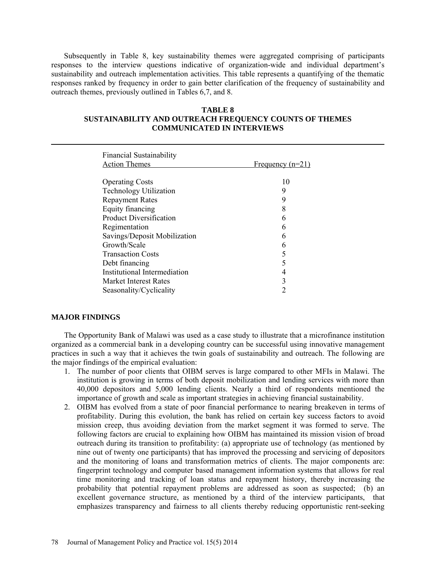Subsequently in Table 8, key sustainability themes were aggregated comprising of participants responses to the interview questions indicative of organization-wide and individual department's sustainability and outreach implementation activities. This table represents a quantifying of the thematic responses ranked by frequency in order to gain better clarification of the frequency of sustainability and outreach themes, previously outlined in Tables 6,7, and 8.

# **TABLE 8**

# **SUSTAINABILITY AND OUTREACH FREQUENCY COUNTS OF THEMES COMMUNICATED IN INTERVIEWS**

| <b>Financial Sustainability</b> |                    |
|---------------------------------|--------------------|
| <b>Action Themes</b>            | Frequency $(n=21)$ |
| <b>Operating Costs</b>          | 10                 |
| <b>Technology Utilization</b>   | 9                  |
| <b>Repayment Rates</b>          | 9                  |
| Equity financing                | 8                  |
| <b>Product Diversification</b>  | b                  |
| Regimentation                   | 6                  |
| Savings/Deposit Mobilization    | 6                  |
| Growth/Scale                    | h                  |
| <b>Transaction Costs</b>        |                    |
| Debt financing                  |                    |
| Institutional Intermediation    | 4                  |
| Market Interest Rates           | 3                  |
| Seasonality/Cyclicality         |                    |

## **MAJOR FINDINGS**

The Opportunity Bank of Malawi was used as a case study to illustrate that a microfinance institution organized as a commercial bank in a developing country can be successful using innovative management practices in such a way that it achieves the twin goals of sustainability and outreach. The following are the major findings of the empirical evaluation:

- 1. The number of poor clients that OIBM serves is large compared to other MFIs in Malawi. The institution is growing in terms of both deposit mobilization and lending services with more than 40,000 depositors and 5,000 lending clients. Nearly a third of respondents mentioned the importance of growth and scale as important strategies in achieving financial sustainability.
- 2. OIBM has evolved from a state of poor financial performance to nearing breakeven in terms of profitability. During this evolution, the bank has relied on certain key success factors to avoid mission creep, thus avoiding deviation from the market segment it was formed to serve. The following factors are crucial to explaining how OIBM has maintained its mission vision of broad outreach during its transition to profitability: (a) appropriate use of technology (as mentioned by nine out of twenty one participants) that has improved the processing and servicing of depositors and the monitoring of loans and transformation metrics of clients. The major components are: fingerprint technology and computer based management information systems that allows for real time monitoring and tracking of loan status and repayment history, thereby increasing the probability that potential repayment problems are addressed as soon as suspected; (b) an excellent governance structure, as mentioned by a third of the interview participants, that emphasizes transparency and fairness to all clients thereby reducing opportunistic rent-seeking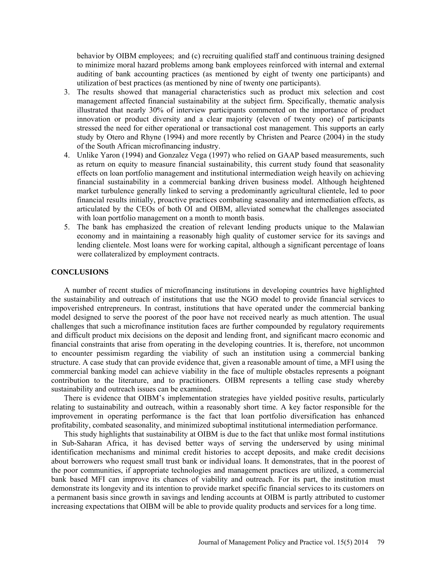behavior by OIBM employees; and (c) recruiting qualified staff and continuous training designed to minimize moral hazard problems among bank employees reinforced with internal and external auditing of bank accounting practices (as mentioned by eight of twenty one participants) and utilization of best practices (as mentioned by nine of twenty one participants).

- 3. The results showed that managerial characteristics such as product mix selection and cost management affected financial sustainability at the subject firm. Specifically, thematic analysis illustrated that nearly 30% of interview participants commented on the importance of product innovation or product diversity and a clear majority (eleven of twenty one) of participants stressed the need for either operational or transactional cost management. This supports an early study by Otero and Rhyne (1994) and more recently by Christen and Pearce (2004) in the study of the South African microfinancing industry.
- 4. Unlike Yaron (1994) and Gonzalez Vega (1997) who relied on GAAP based measurements, such as return on equity to measure financial sustainability, this current study found that seasonality effects on loan portfolio management and institutional intermediation weigh heavily on achieving financial sustainability in a commercial banking driven business model. Although heightened market turbulence generally linked to serving a predominantly agricultural clientele, led to poor financial results initially, proactive practices combating seasonality and intermediation effects, as articulated by the CEOs of both OI and OIBM, alleviated somewhat the challenges associated with loan portfolio management on a month to month basis.
- 5. The bank has emphasized the creation of relevant lending products unique to the Malawian economy and in maintaining a reasonably high quality of customer service for its savings and lending clientele. Most loans were for working capital, although a significant percentage of loans were collateralized by employment contracts.

### **CONCLUSIONS**

A number of recent studies of microfinancing institutions in developing countries have highlighted the sustainability and outreach of institutions that use the NGO model to provide financial services to impoverished entrepreneurs. In contrast, institutions that have operated under the commercial banking model designed to serve the poorest of the poor have not received nearly as much attention. The usual challenges that such a microfinance institution faces are further compounded by regulatory requirements and difficult product mix decisions on the deposit and lending front, and significant macro economic and financial constraints that arise from operating in the developing countries. It is, therefore, not uncommon to encounter pessimism regarding the viability of such an institution using a commercial banking structure. A case study that can provide evidence that, given a reasonable amount of time, a MFI using the commercial banking model can achieve viability in the face of multiple obstacles represents a poignant contribution to the literature, and to practitioners. OIBM represents a telling case study whereby sustainability and outreach issues can be examined.

There is evidence that OIBM's implementation strategies have yielded positive results, particularly relating to sustainability and outreach, within a reasonably short time. A key factor responsible for the improvement in operating performance is the fact that loan portfolio diversification has enhanced profitability, combated seasonality, and minimized suboptimal institutional intermediation performance.

This study highlights that sustainability at OIBM is due to the fact that unlike most formal institutions in Sub-Saharan Africa, it has devised better ways of serving the underserved by using minimal identification mechanisms and minimal credit histories to accept deposits, and make credit decisions about borrowers who request small trust bank or individual loans. It demonstrates, that in the poorest of the poor communities, if appropriate technologies and management practices are utilized, a commercial bank based MFI can improve its chances of viability and outreach. For its part, the institution must demonstrate its longevity and its intention to provide market specific financial services to its customers on a permanent basis since growth in savings and lending accounts at OIBM is partly attributed to customer increasing expectations that OIBM will be able to provide quality products and services for a long time.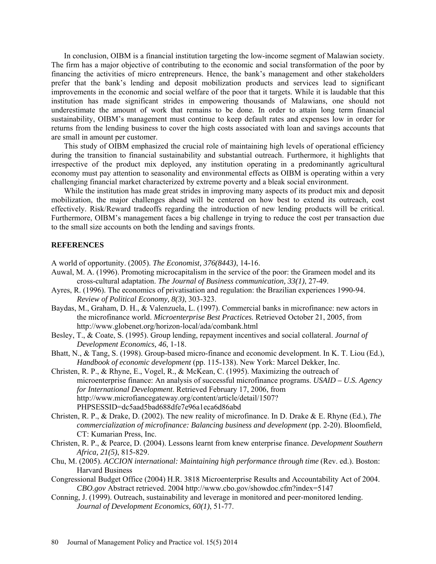In conclusion, OIBM is a financial institution targeting the low-income segment of Malawian society. The firm has a major objective of contributing to the economic and social transformation of the poor by financing the activities of micro entrepreneurs. Hence, the bank's management and other stakeholders prefer that the bank's lending and deposit mobilization products and services lead to significant improvements in the economic and social welfare of the poor that it targets. While it is laudable that this institution has made significant strides in empowering thousands of Malawians, one should not underestimate the amount of work that remains to be done. In order to attain long term financial sustainability, OIBM's management must continue to keep default rates and expenses low in order for returns from the lending business to cover the high costs associated with loan and savings accounts that are small in amount per customer.

This study of OIBM emphasized the crucial role of maintaining high levels of operational efficiency during the transition to financial sustainability and substantial outreach. Furthermore, it highlights that irrespective of the product mix deployed, any institution operating in a predominantly agricultural economy must pay attention to seasonality and environmental effects as OIBM is operating within a very challenging financial market characterized by extreme poverty and a bleak social environment.

While the institution has made great strides in improving many aspects of its product mix and deposit mobilization, the major challenges ahead will be centered on how best to extend its outreach, cost effectively. Risk/Reward tradeoffs regarding the introduction of new lending products will be critical. Furthermore, OIBM's management faces a big challenge in trying to reduce the cost per transaction due to the small size accounts on both the lending and savings fronts.

#### **REFERENCES**

A world of opportunity. (2005). *The Economist, 376(8443)*, 14-16.

- Auwal, M. A. (1996). Promoting microcapitalism in the service of the poor: the Grameen model and its cross-cultural adaptation. *The Journal of Business communication, 33(1)*, 27-49.
- Ayres, R. (1996). The economics of privatisation and regulation: the Brazilian experiences 1990-94. *Review of Political Economy, 8(3)*, 303-323.
- Baydas, M., Graham, D. H., & Valenzuela, L. (1997). Commercial banks in microfinance: new actors in the microfinance world. *Microenterprise Best Practices.* Retrieved October 21, 2005, from http://www.globenet.org/horizon-local/ada/combank.html
- Besley, T., & Coate, S. (1995). Group lending, repayment incentives and social collateral. *Journal of Development Economics, 46*, 1-18.
- Bhatt, N., & Tang, S. (1998). Group-based micro-finance and economic development. In K. T. Liou (Ed.), *Handbook of economic development* (pp. 115-138). New York: Marcel Dekker, Inc.
- Christen, R. P., & Rhyne, E., Vogel, R., & McKean, C. (1995). Maximizing the outreach of microenterprise finance: An analysis of successful microfinance programs. *USAID – U.S. Agency for International Development*. Retrieved February 17, 2006, from http://www.microfiancegateway.org/content/article/detail/1507? PHPSESSID=dc5aad5bad688dfe7e96a1eca6d86abd
- Christen, R. P., & Drake, D. (2002). The new reality of microfinance. In D. Drake & E. Rhyne (Ed.), *The commercialization of microfinance: Balancing business and development* (pp. 2-20). Bloomfield, CT: Kumarian Press, Inc.
- Christen, R. P., & Pearce, D. (2004). Lessons learnt from knew enterprise finance. *Development Southern Africa, 21(5)*, 815-829.
- Chu, M. (2005). *ACCION international: Maintaining high performance through time* (Rev. ed.). Boston: Harvard Business
- Congressional Budget Office (2004) H.R. 3818 Microenterprise Results and Accountability Act of 2004. *CBO.gov* Abstract retrieved. 2004 http://www.cbo.gov/showdoc.cfm?index=5147
- Conning, J. (1999). Outreach, sustainability and leverage in monitored and peer-monitored lending. *Journal of Development Economics, 60(1)*, 51-77.